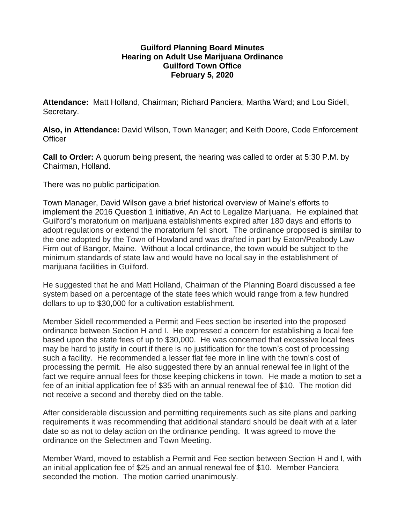## **Guilford Planning Board Minutes Hearing on Adult Use Marijuana Ordinance Guilford Town Office February 5, 2020**

**Attendance:** Matt Holland, Chairman; Richard Panciera; Martha Ward; and Lou Sidell, Secretary.

**Also, in Attendance:** David Wilson, Town Manager; and Keith Doore, Code Enforcement **Officer** 

**Call to Order:** A quorum being present, the hearing was called to order at 5:30 P.M. by Chairman, Holland.

There was no public participation.

Town Manager, David Wilson gave a brief historical overview of Maine's efforts to implement the 2016 Question 1 initiative, An Act to Legalize Marijuana. He explained that Guilford's moratorium on marijuana establishments expired after 180 days and efforts to adopt regulations or extend the moratorium fell short. The ordinance proposed is similar to the one adopted by the Town of Howland and was drafted in part by Eaton/Peabody Law Firm out of Bangor, Maine. Without a local ordinance, the town would be subject to the minimum standards of state law and would have no local say in the establishment of marijuana facilities in Guilford.

He suggested that he and Matt Holland, Chairman of the Planning Board discussed a fee system based on a percentage of the state fees which would range from a few hundred dollars to up to \$30,000 for a cultivation establishment.

Member Sidell recommended a Permit and Fees section be inserted into the proposed ordinance between Section H and I. He expressed a concern for establishing a local fee based upon the state fees of up to \$30,000. He was concerned that excessive local fees may be hard to justify in court if there is no justification for the town's cost of processing such a facility. He recommended a lesser flat fee more in line with the town's cost of processing the permit. He also suggested there by an annual renewal fee in light of the fact we require annual fees for those keeping chickens in town. He made a motion to set a fee of an initial application fee of \$35 with an annual renewal fee of \$10. The motion did not receive a second and thereby died on the table.

After considerable discussion and permitting requirements such as site plans and parking requirements it was recommending that additional standard should be dealt with at a later date so as not to delay action on the ordinance pending. It was agreed to move the ordinance on the Selectmen and Town Meeting.

Member Ward, moved to establish a Permit and Fee section between Section H and I, with an initial application fee of \$25 and an annual renewal fee of \$10. Member Panciera seconded the motion. The motion carried unanimously.